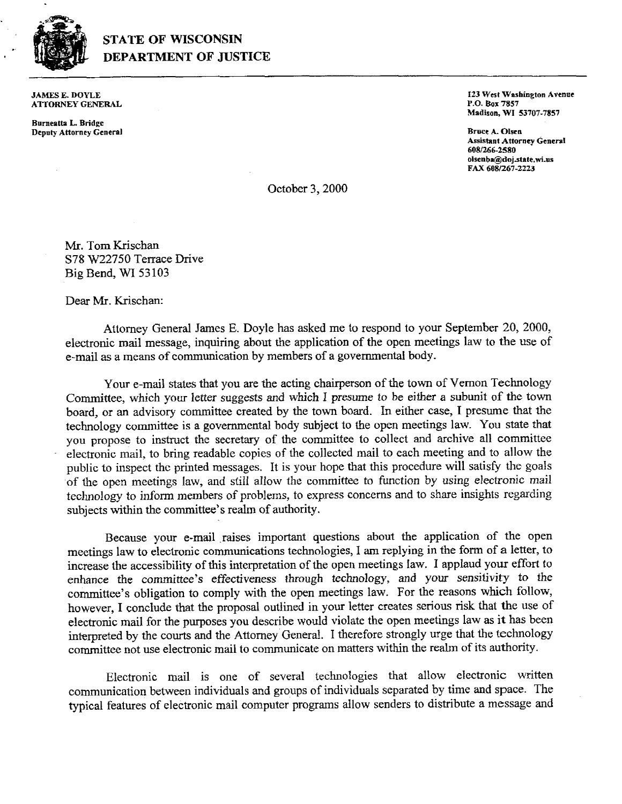

## **STATE OF WISCONSIN DEPARTMENT OF JUSTICE**

JAMES E. DOYLE A'ITORNEY **GENEEAL** 

**Borneatta L Bridge Dcpaty Attorney General**  **I23 West Washington Avenue** P.O. **Box 7857 Madison, WI 53707-7857** 

**Bnec A. Olrn Assistant Attorney General 6W6-2580**   $olsenba@doj.state.wi.us$ **FAX 608/267-2223** 

October 3,2000

Mr. Tom Krischan **S78 W22750** Tenace Drive Big Bend, **WI** 53 **103** 

Dear Mr. Krischan:

Attorney General James E. Doyle has asked me to respond to your September 20, 2000, electronic mail message, inquiring about the application of the open meetings law to the use of e-mail as a means of communication by members of a governmental body.

Your e-mail states that you are the acting chairperson of the town of Vernon Technology Committee, which your letter suggests and which I presume to be either a subunit of the town board, or an advisory committee created by the town board. In either case, I presume that the technology committee is a governmental body subject to the open meetings law. You state that you propose to instruct the secretary of the committee to collect and archive all committee electronic mail, to bring readable copies of the collected mail to each meeting and to allow the public to inspect the printed messages. It is your hope that this procedure will satisfy the goals of the open meetings law, and still allow the committee to function by using electronic mail technology to inform members of problems, to express concerns and to share insights regarding subjects within the committee's realm of authority.

Because your e-mail raises important questions about the application of the open meetings law to electronic communications technologies, I am replying in the form of a letter, to increase the accessibility of this interpretation of the open meetings law. I applaud your effort to enhance the committee's effectiveness through technology, and your sensitivity to the committee's obligation to comply **with** the open meetings law. For the reasons which follow, however, I conclude that the proposal outlined in your letter creates serious risk that the use of electronic mail for the purposes you describe would violate the open meetings law as it has been interpreted by the **courts** and the Attorney General. I therefore strongly urge that the technology committee not use electronic mail to communicate on matters within the realm of its authority.

Electronic mail is one of several technologies that allow electronic written communication between individuals and groups of individuals separated by time and space. The typical features of electronic mail computer programs allow senders to distribute a message and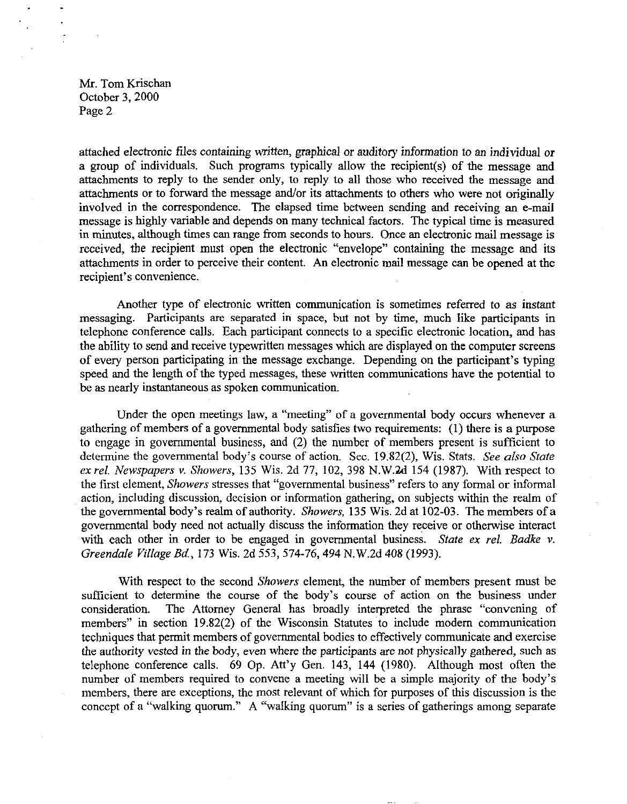Mr. Tom Krischan October 3, 2000 Page 2

attached electronic files containing written, graphical or auditory information to an individual or a group of individuals. Such programs typically allow the recipient(s) of the message and attachments to reply to the sender only, to reply to all those who received the message and attachments or to forward the message and/or its attachments to others who were not originally involved in the correspondence. The elapsed time between sending and receiving an e-mail message is highly variable and depends on many technical factors. The typical time is measured in minutes, although times can range from seconds to hours. Once an electronic mail message is received, the recipient must open the electronic "envelope" containing the message and its attachments in order to perceive their content. **An** electronic mail message can be opened at the recipient's convenience.

Another type of electronic written communication is sometimes referred to as instant messaging. Participants are separated in space, but not by time, much like participants in telephone conference calls. Each participant connects to a specific electronic location, and has the ability to send and receive typewritten messages which are displayed on the computer screens of every person participating in the message exchange. Depending on the participant's typing speed and the length of the typed messages, these written communications have the potential to be **as** nearly instantaneous as spoken communication.

Under the open meetings law, a "meeting" of a governmental body occurs whenever a gathering of members of a governmental body satisfies two requirements: (1) there is a purpose to engage in governmental business, and (2) the number of members present is sufficient to determine the governmental body's course of action. Sec. 19.82(2), Wis. Stats. *See also State ex rel. Newspapers v. Showers, 135 Wis. 2d 77, 102, 398 N.W.2d 154 (1987). With respect to* the first clement, *Showers* stresses that "govemmental business" refers to any formal or informal action, including discussion, decision or information gathering, on subjects within the realm of the governmental body's realm of authority. *Showers,* 135 Wis. 2d at 102-03. The members of **a**  governmental body need not actually discuss the information they receive or otherwise interact with each other in order to be engaged in govemmental business. *State ex rel. Badke v. Greendale Village Bd.,* 173 Wis. 2d 553,574-76,494 N.W.2d 408 (1993).

With respect to the second *Showers* element, the number of members present must be sufficient to determine the course of the body's course of action on the business under consideration. The Attorney General has broadly interpreted the phrase "convening of members" in section 19.82(2) of the Wisconsin Statutes to include modem communication techniques that permit members of governmental bodies to effectively communicate and exercise the authority vested in the body, even where the participants are not physically gathered, such as telephone conference calls. 69 Op. Att'y Gen. 143, 144 (1980). Although most often the number of members required to convene a meeting will be a simple majority of the body's members, there are exceptions, the most relevant of which for purposes of this discussion is the conccpt of a "walking quorum." **A** "walking quorum" is a series of gatherings among separate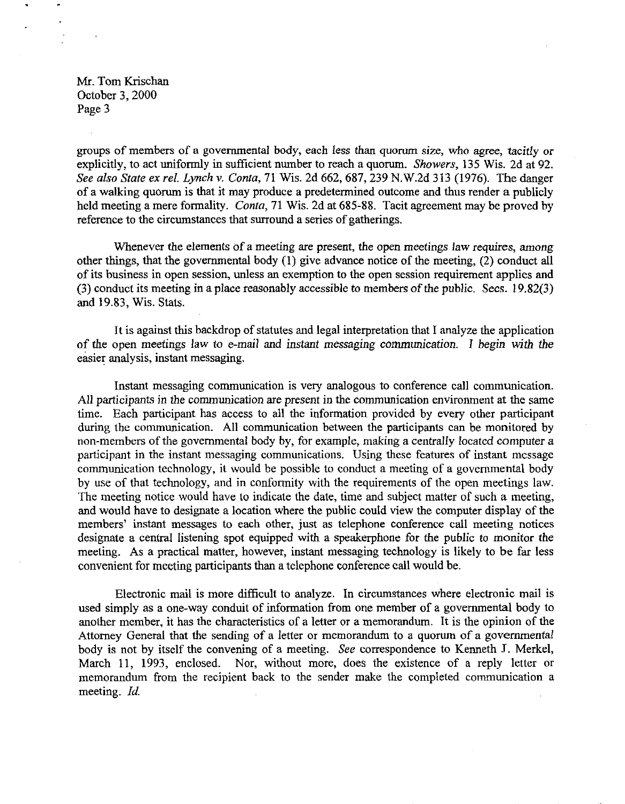Mr. Tom Krischan October *3,2000*  Page *3* 

groups of members of a governmental body, each less than quorum size, who agree, tacitly or explicitly, to act uniformly in sufficient number to reach a quorum. *Showers, 135* Wis. 2d at *92. See also State ex rel. Lynch v. Conta,* 71 Wis. 2d *662,687,239* N.W.2d *313 (1976).* The danger of a walking quonun is that it may produce a predetermined outcome and thus render a publicly held meeting a mere formality. *Conta,* 71 Wis. 2d at *685-88.* Tacit agreement may be proved by reference to the circumstances that surround a series of gatherings.

Whenever the elements of a meeting are present, the open meetings law requires, among other things, that the governmental body *(1)* give advance notice of the meeting, *(2)* conduct all of its business in open session, unless an exemption to the open session requirement applies and *(3)* conduct its meeting in a place reasonably accessible to members of the public. Secs. *l9.82(3)*  and *19.83,* Wis. **Stats.** 

It is against this backdrop of statutes and legal interpretation that I analyze the application of the open meetings law to e-mail and instant messaging communication. I begin with the easier analysis, instant messaging.

Instant messaging communication is very analogous to conference call communication. All participants in the communication are present in the communication environment at the same time. Each participant has access to all the information provided by every other participant during the communication. All communication between the participants can be monitored by non-members of the governmental body by, for example, making a centrally located computer a participant in the instant messaging communications. Using these features of instant mcssage communication technology, it would be possible to conduct a meeting of a governmental body by use of that technology, and in conformity with the requirements of the open meetings law. The meeting notice would have to indicate the date, time and subject matter of such a meeting, and would have to designate a location where the public could view the computer display of the members' instant messages to each other, just as telephone conference call meeting notices designate a central listening spot equipped with a speakerphone for the public to monitor the meeting. As a practical matter, however, instant messaging technology is likely to be far less convenient for meeting participants than a telephone conference call would be.

Electronic mail is more difficult to analyze. In circumstances where electronic mail is used simply as a one-way conduit of information from one member of a governmental body to another member, it has the characteristics of a letter or a memorandum. It is the opinion of the Attorney General that the sending of a letter or memorandum to a quorum of a governmental body is not by itself the convening of a meeting. *See* correspondence to Kenneth **J.** Merkel, March *11, 1993,* enclosed. Nor, without more, does the existence of a reply letter or memorandum from the recipient back to the sender make the completed communication a meeting. *Id.*